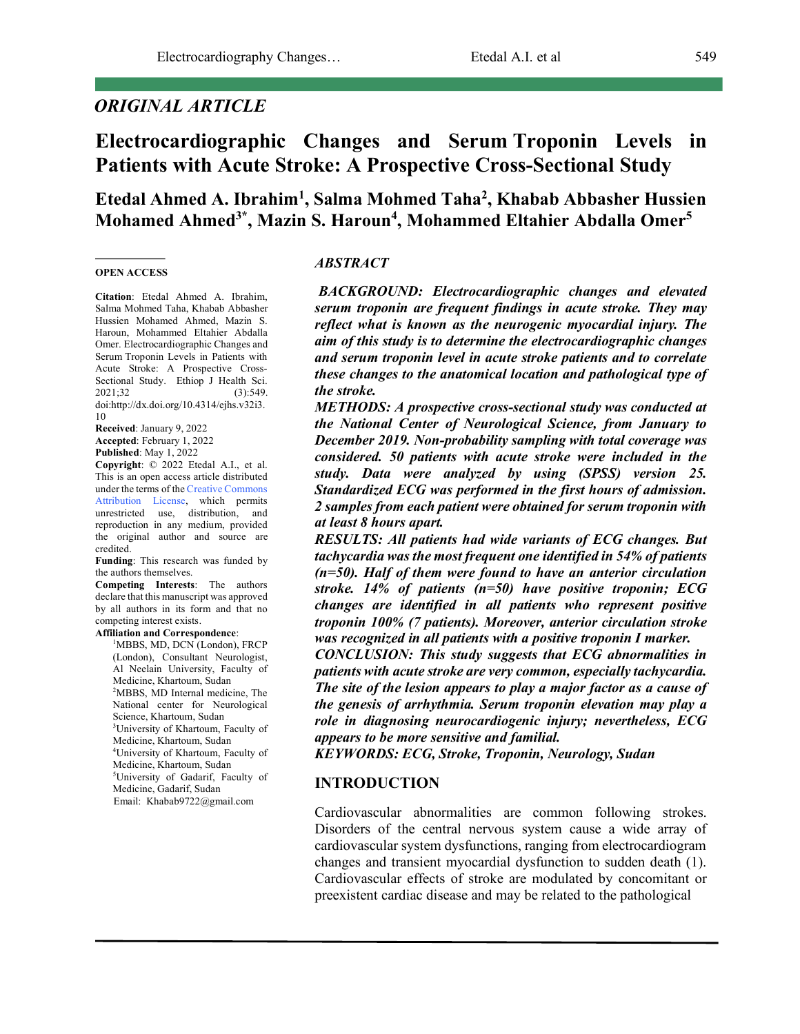# *ORIGINAL ARTICLE*

# **Electrocardiographic Changes and Serum Troponin Levels in Patients with Acute Stroke: A Prospective Cross-Sectional Study**

# **Etedal Ahmed A. Ibrahim1 , Salma Mohmed Taha2 , Khabab Abbasher Hussien Mohamed Ahmed3\*, Mazin S. Haroun4 , Mohammed Eltahier Abdalla Omer5**

#### **OPEN ACCESS**

**Citation**: Etedal Ahmed A. Ibrahim, Salma Mohmed Taha, Khabab Abbasher Hussien Mohamed Ahmed, Mazin S. Haroun, Mohammed Eltahier Abdalla Omer. Electrocardiographic Changes and Serum Troponin Levels in Patients with Acute Stroke: A Prospective Cross-Sectional Study. Ethiop J Health Sci. 2021;32 (3):549. doi:http://dx.doi.org/10.4314/ejhs.v32i3. 10

**Received**: January 9, 2022 **Accepted**: February 1, 2022 **Published**: May 1, 2022

**Copyright**: © 2022 Etedal A.I., et al. This is an open access article distributed under the terms of the Creative Commons Attribution License, which permits unrestricted use, distribution, and reproduction in any medium, provided the original author and source are credited.

**Funding**: This research was funded by the authors themselves.

**Competing Interests**: The authors declare that this manuscript was approved by all authors in its form and that no competing interest exists.

**Affiliation and Correspondence**: <sup>1</sup>MBBS, MD, DCN (London), FRCP (London), Consultant Neurologist, Al Neelain University, Faculty of Medicine, Khartoum, Sudan <sup>2</sup>MBBS, MD Internal medicine, The National center for Neurological Science, Khartoum, Sudan University of Khartoum, Faculty of

Medicine, Khartoum, Sudan 4 University of Khartoum, Faculty of Medicine, Khartoum, Sudan 5 University of Gadarif, Faculty of Medicine, Gadarif, Sudan

Email: Khabab9722@gmail.com

#### *ABSTRACT*

*BACKGROUND: Electrocardiographic changes and elevated serum troponin are frequent findings in acute stroke. They may reflect what is known as the neurogenic myocardial injury. The aim of this study is to determine the electrocardiographic changes and serum troponin level in acute stroke patients and to correlate these changes to the anatomical location and pathological type of the stroke.*

*METHODS: A prospective cross-sectional study was conducted at the National Center of Neurological Science, from January to December 2019. Non-probability sampling with total coverage was considered. 50 patients with acute stroke were included in the study. Data were analyzed by using (SPSS) version 25. Standardized ECG was performed in the first hours of admission. 2 samples from each patient were obtained for serum troponin with at least 8 hours apart.*

*RESULTS: All patients had wide variants of ECG changes. But tachycardia was the most frequent one identified in 54% of patients (n=50). Half of them were found to have an anterior circulation stroke. 14% of patients (n=50) have positive troponin; ECG changes are identified in all patients who represent positive troponin 100% (7 patients). Moreover, anterior circulation stroke was recognized in all patients with a positive troponin I marker.*

*CONCLUSION: This study suggests that ECG abnormalities in patients with acute stroke are very common, especially tachycardia. The site of the lesion appears to play a major factor as a cause of the genesis of arrhythmia. Serum troponin elevation may play a role in diagnosing neurocardiogenic injury; nevertheless, ECG appears to be more sensitive and familial.*

*KEYWORDS: ECG, Stroke, Troponin, Neurology, Sudan*

#### **INTRODUCTION**

Cardiovascular abnormalities are common following strokes. Disorders of the central nervous system cause a wide array of cardiovascular system dysfunctions, ranging from electrocardiogram changes and transient myocardial dysfunction to sudden death (1). Cardiovascular effects of stroke are modulated by concomitant or preexistent cardiac disease and may be related to the pathological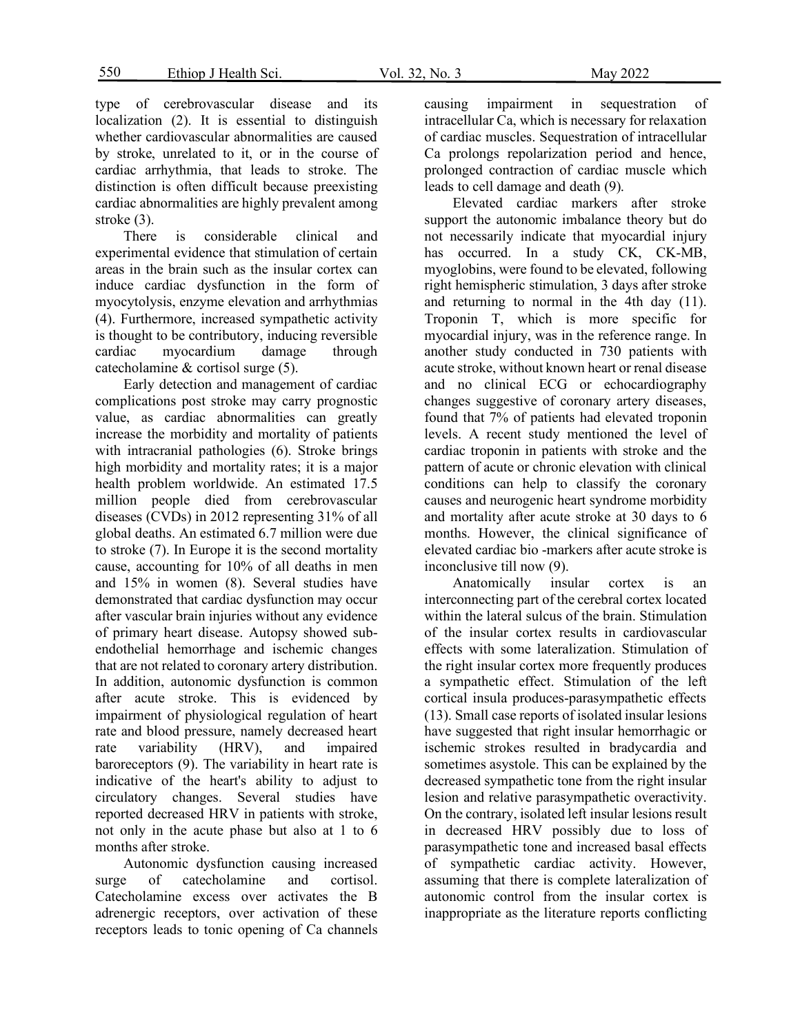type of cerebrovascular disease and its localization (2). It is essential to distinguish whether cardiovascular abnormalities are caused by stroke, unrelated to it, or in the course of cardiac arrhythmia, that leads to stroke. The distinction is often difficult because preexisting cardiac abnormalities are highly prevalent among stroke (3).

There is considerable clinical and experimental evidence that stimulation of certain areas in the brain such as the insular cortex can induce cardiac dysfunction in the form of myocytolysis, enzyme elevation and arrhythmias (4). Furthermore, increased sympathetic activity is thought to be contributory, inducing reversible cardiac myocardium damage through catecholamine & cortisol surge (5).

Early detection and management of cardiac complications post stroke may carry prognostic value, as cardiac abnormalities can greatly increase the morbidity and mortality of patients with intracranial pathologies (6). Stroke brings high morbidity and mortality rates; it is a major health problem worldwide. An estimated 17.5 million people died from cerebrovascular diseases (CVDs) in 2012 representing 31% of all global deaths. An estimated 6.7 million were due to stroke (7). In Europe it is the second mortality cause, accounting for 10% of all deaths in men and 15% in women (8). Several studies have demonstrated that cardiac dysfunction may occur after vascular brain injuries without any evidence of primary heart disease. Autopsy showed subendothelial hemorrhage and ischemic changes that are not related to coronary artery distribution. In addition, autonomic dysfunction is common after acute stroke. This is evidenced by impairment of physiological regulation of heart rate and blood pressure, namely decreased heart rate variability (HRV), and impaired baroreceptors (9). The variability in heart rate is indicative of the heart's ability to adjust to circulatory changes. Several studies have reported decreased HRV in patients with stroke, not only in the acute phase but also at 1 to 6 months after stroke.

Autonomic dysfunction causing increased surge of catecholamine and cortisol. Catecholamine excess over activates the B adrenergic receptors, over activation of these receptors leads to tonic opening of Ca channels causing impairment in sequestration of intracellular Ca, which is necessary for relaxation of cardiac muscles. Sequestration of intracellular Ca prolongs repolarization period and hence, prolonged contraction of cardiac muscle which leads to cell damage and death (9).

Elevated cardiac markers after stroke support the autonomic imbalance theory but do not necessarily indicate that myocardial injury has occurred. In a study CK, CK-MB, myoglobins, were found to be elevated, following right hemispheric stimulation, 3 days after stroke and returning to normal in the 4th day (11). Troponin T, which is more specific for myocardial injury, was in the reference range. In another study conducted in 730 patients with acute stroke, without known heart or renal disease and no clinical ECG or echocardiography changes suggestive of coronary artery diseases, found that 7% of patients had elevated troponin levels. A recent study mentioned the level of cardiac troponin in patients with stroke and the pattern of acute or chronic elevation with clinical conditions can help to classify the coronary causes and neurogenic heart syndrome morbidity and mortality after acute stroke at 30 days to 6 months. However, the clinical significance of elevated cardiac bio -markers after acute stroke is inconclusive till now (9).

Anatomically insular cortex is an interconnecting part of the cerebral cortex located within the lateral sulcus of the brain. Stimulation of the insular cortex results in cardiovascular effects with some lateralization. Stimulation of the right insular cortex more frequently produces a sympathetic effect. Stimulation of the left cortical insula produces-parasympathetic effects (13). Small case reports of isolated insular lesions have suggested that right insular hemorrhagic or ischemic strokes resulted in bradycardia and sometimes asystole. This can be explained by the decreased sympathetic tone from the right insular lesion and relative parasympathetic overactivity. On the contrary, isolated left insular lesions result in decreased HRV possibly due to loss of parasympathetic tone and increased basal effects of sympathetic cardiac activity. However, assuming that there is complete lateralization of autonomic control from the insular cortex is inappropriate as the literature reports conflicting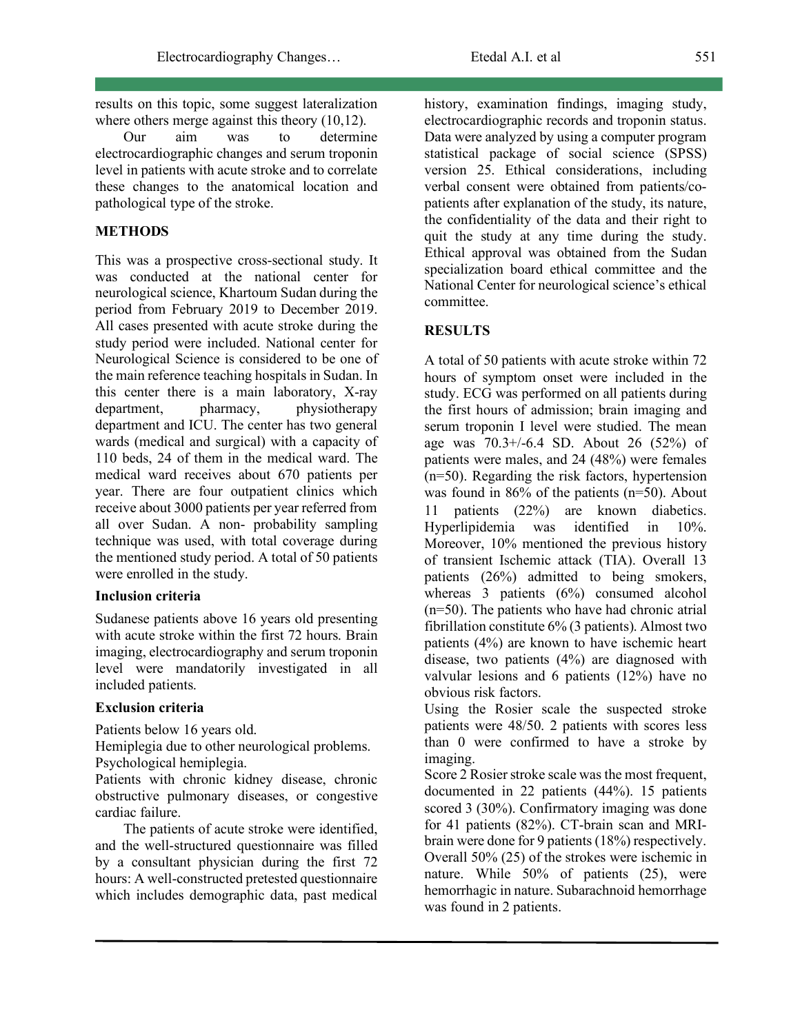results on this topic, some suggest lateralization where others merge against this theory  $(10,12)$ .

Our aim was to determine electrocardiographic changes and serum troponin level in patients with acute stroke and to correlate these changes to the anatomical location and pathological type of the stroke.

#### **METHODS**

This was a prospective cross-sectional study. It was conducted at the national center for neurological science, Khartoum Sudan during the period from February 2019 to December 2019. All cases presented with acute stroke during the study period were included. National center for Neurological Science is considered to be one of the main reference teaching hospitals in Sudan. In this center there is a main laboratory, X-ray department, pharmacy, physiotherapy department and ICU. The center has two general wards (medical and surgical) with a capacity of 110 beds, 24 of them in the medical ward. The medical ward receives about 670 patients per year. There are four outpatient clinics which receive about 3000 patients per year referred from all over Sudan. A non- probability sampling technique was used, with total coverage during the mentioned study period. A total of 50 patients were enrolled in the study.

#### **Inclusion criteria**

Sudanese patients above 16 years old presenting with acute stroke within the first 72 hours. Brain imaging, electrocardiography and serum troponin level were mandatorily investigated in all included patients.

## **Exclusion criteria**

Patients below 16 years old.

Hemiplegia due to other neurological problems. Psychological hemiplegia.

Patients with chronic kidney disease, chronic obstructive pulmonary diseases, or congestive cardiac failure.

The patients of acute stroke were identified, and the well-structured questionnaire was filled by a consultant physician during the first 72 hours: A well-constructed pretested questionnaire which includes demographic data, past medical history, examination findings, imaging study, electrocardiographic records and troponin status. Data were analyzed by using a computer program statistical package of social science (SPSS) version 25. Ethical considerations, including verbal consent were obtained from patients/copatients after explanation of the study, its nature, the confidentiality of the data and their right to quit the study at any time during the study. Ethical approval was obtained from the Sudan specialization board ethical committee and the National Center for neurological science's ethical committee.

## **RESULTS**

A total of 50 patients with acute stroke within 72 hours of symptom onset were included in the study. ECG was performed on all patients during the first hours of admission; brain imaging and serum troponin I level were studied. The mean age was 70.3+/-6.4 SD. About 26 (52%) of patients were males, and 24 (48%) were females (n=50). Regarding the risk factors, hypertension was found in 86% of the patients (n=50). About 11 patients (22%) are known diabetics. Hyperlipidemia was identified in 10%. Moreover, 10% mentioned the previous history of transient Ischemic attack (TIA). Overall 13 patients (26%) admitted to being smokers, whereas 3 patients (6%) consumed alcohol (n=50). The patients who have had chronic atrial fibrillation constitute 6% (3 patients). Almost two patients (4%) are known to have ischemic heart disease, two patients (4%) are diagnosed with valvular lesions and 6 patients (12%) have no obvious risk factors.

Using the Rosier scale the suspected stroke patients were 48/50. 2 patients with scores less than 0 were confirmed to have a stroke by imaging.

Score 2 Rosier stroke scale was the most frequent, documented in 22 patients (44%). 15 patients scored 3 (30%). Confirmatory imaging was done for 41 patients (82%). CT-brain scan and MRIbrain were done for 9 patients (18%) respectively. Overall 50% (25) of the strokes were ischemic in nature. While 50% of patients (25), were hemorrhagic in nature. Subarachnoid hemorrhage was found in 2 patients.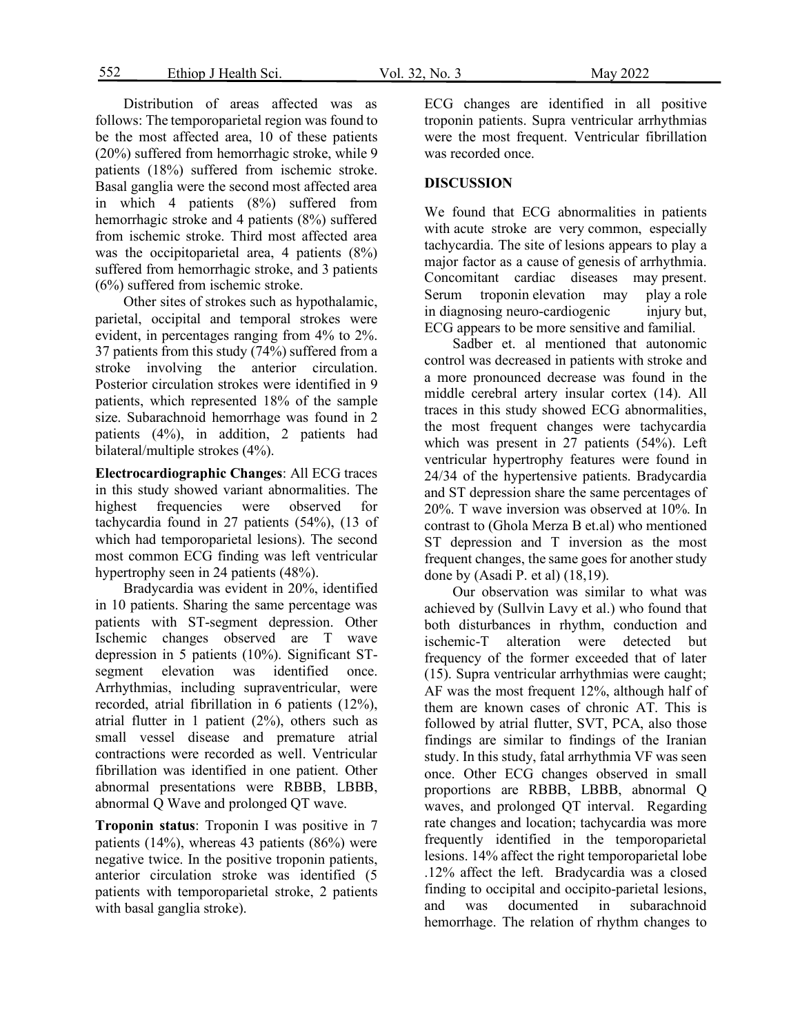552 Ethiop J Health Sci. Vol. 32, No. 3 May 2022

Distribution of areas affected was as follows: The temporoparietal region was found to be the most affected area, 10 of these patients (20%) suffered from hemorrhagic stroke, while 9 patients (18%) suffered from ischemic stroke. Basal ganglia were the second most affected area in which 4 patients (8%) suffered from hemorrhagic stroke and 4 patients (8%) suffered from ischemic stroke. Third most affected area was the occipitoparietal area, 4 patients (8%) suffered from hemorrhagic stroke, and 3 patients (6%) suffered from ischemic stroke.

Other sites of strokes such as hypothalamic, parietal, occipital and temporal strokes were evident, in percentages ranging from 4% to 2%. 37 patients from this study (74%) suffered from a stroke involving the anterior circulation. Posterior circulation strokes were identified in 9 patients, which represented 18% of the sample size. Subarachnoid hemorrhage was found in 2 patients (4%), in addition, 2 patients had bilateral/multiple strokes (4%).

**Electrocardiographic Changes**: All ECG traces in this study showed variant abnormalities. The highest frequencies were observed for tachycardia found in 27 patients (54%), (13 of which had temporoparietal lesions). The second most common ECG finding was left ventricular hypertrophy seen in 24 patients (48%).

Bradycardia was evident in 20%, identified in 10 patients. Sharing the same percentage was patients with ST-segment depression. Other Ischemic changes observed are T wave depression in 5 patients (10%). Significant STsegment elevation was identified once. Arrhythmias, including supraventricular, were recorded, atrial fibrillation in 6 patients (12%), atrial flutter in 1 patient (2%), others such as small vessel disease and premature atrial contractions were recorded as well. Ventricular fibrillation was identified in one patient. Other abnormal presentations were RBBB, LBBB, abnormal Q Wave and prolonged QT wave.

**Troponin status**: Troponin I was positive in 7 patients (14%), whereas 43 patients (86%) were negative twice. In the positive troponin patients, anterior circulation stroke was identified (5 patients with temporoparietal stroke, 2 patients with basal ganglia stroke).

ECG changes are identified in all positive troponin patients. Supra ventricular arrhythmias were the most frequent. Ventricular fibrillation was recorded once.

#### **DISCUSSION**

We found that ECG abnormalities in patients with acute stroke are very common, especially tachycardia. The site of lesions appears to play a major factor as a cause of genesis of arrhythmia. Concomitant cardiac diseases may present. Serum troponin elevation may play a role in diagnosing neuro-cardiogenic injury but, ECG appears to be more sensitive and familial.

Sadber et. al mentioned that autonomic control was decreased in patients with stroke and a more pronounced decrease was found in the middle cerebral artery insular cortex (14). All traces in this study showed ECG abnormalities, the most frequent changes were tachycardia which was present in 27 patients (54%). Left ventricular hypertrophy features were found in 24/34 of the hypertensive patients. Bradycardia and ST depression share the same percentages of 20%. T wave inversion was observed at 10%. In contrast to (Ghola Merza B et.al) who mentioned ST depression and T inversion as the most frequent changes, the same goes for another study done by (Asadi P. et al) (18,19).

Our observation was similar to what was achieved by (Sullvin Lavy et al.) who found that both disturbances in rhythm, conduction and ischemic-T alteration were detected but frequency of the former exceeded that of later (15). Supra ventricular arrhythmias were caught; AF was the most frequent 12%, although half of them are known cases of chronic AT. This is followed by atrial flutter, SVT, PCA, also those findings are similar to findings of the Iranian study. In this study, fatal arrhythmia VF was seen once. Other ECG changes observed in small proportions are RBBB, LBBB, abnormal Q waves, and prolonged QT interval. Regarding rate changes and location; tachycardia was more frequently identified in the temporoparietal lesions. 14% affect the right temporoparietal lobe .12% affect the left. Bradycardia was a closed finding to occipital and occipito-parietal lesions, and was documented in subarachnoid hemorrhage. The relation of rhythm changes to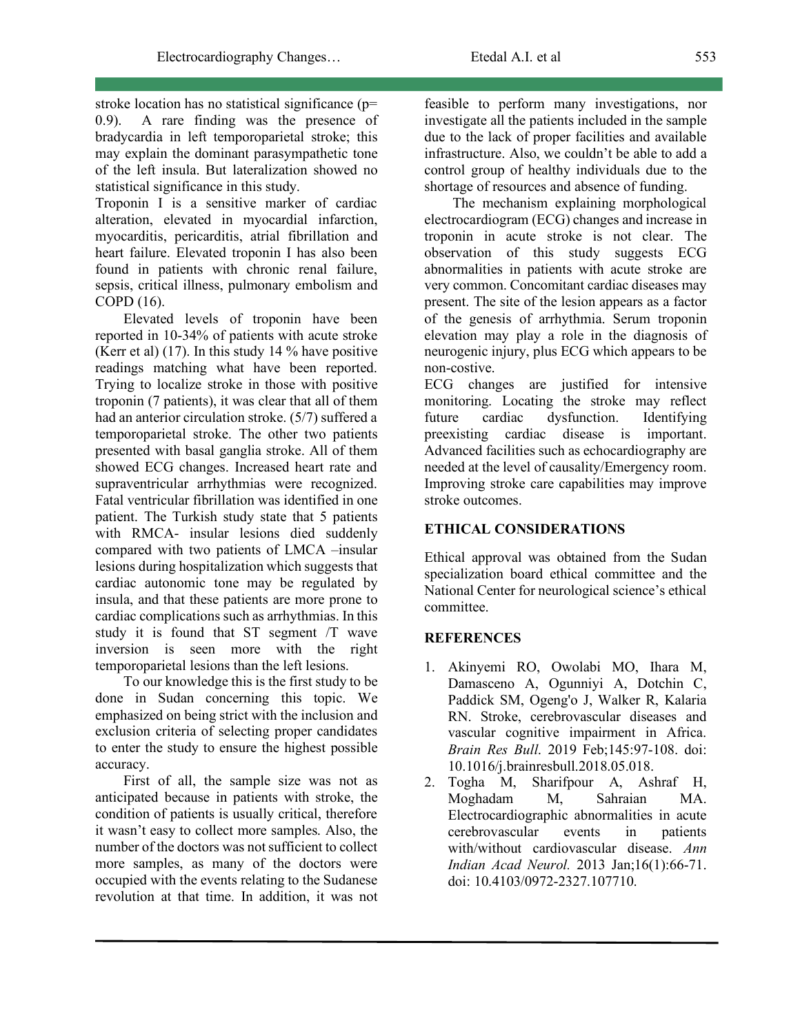stroke location has no statistical significance (p= 0.9). A rare finding was the presence of bradycardia in left temporoparietal stroke; this may explain the dominant parasympathetic tone of the left insula. But lateralization showed no statistical significance in this study.

Troponin I is a sensitive marker of cardiac alteration, elevated in myocardial infarction, myocarditis, pericarditis, atrial fibrillation and heart failure. Elevated troponin I has also been found in patients with chronic renal failure, sepsis, critical illness, pulmonary embolism and COPD (16).

Elevated levels of troponin have been reported in 10-34% of patients with acute stroke (Kerr et al) (17). In this study 14 % have positive readings matching what have been reported. Trying to localize stroke in those with positive troponin (7 patients), it was clear that all of them had an anterior circulation stroke. (5/7) suffered a temporoparietal stroke. The other two patients presented with basal ganglia stroke. All of them showed ECG changes. Increased heart rate and supraventricular arrhythmias were recognized. Fatal ventricular fibrillation was identified in one patient. The Turkish study state that 5 patients with RMCA- insular lesions died suddenly compared with two patients of LMCA –insular lesions during hospitalization which suggests that cardiac autonomic tone may be regulated by insula, and that these patients are more prone to cardiac complications such as arrhythmias. In this study it is found that ST segment /T wave inversion is seen more with the right temporoparietal lesions than the left lesions.

To our knowledge this is the first study to be done in Sudan concerning this topic. We emphasized on being strict with the inclusion and exclusion criteria of selecting proper candidates to enter the study to ensure the highest possible accuracy.

First of all, the sample size was not as anticipated because in patients with stroke, the condition of patients is usually critical, therefore it wasn't easy to collect more samples. Also, the number of the doctors was not sufficient to collect more samples, as many of the doctors were occupied with the events relating to the Sudanese revolution at that time. In addition, it was not feasible to perform many investigations, nor investigate all the patients included in the sample due to the lack of proper facilities and available infrastructure. Also, we couldn't be able to add a control group of healthy individuals due to the shortage of resources and absence of funding.

The mechanism explaining morphological electrocardiogram (ECG) changes and increase in troponin in acute stroke is not clear. The observation of this study suggests ECG abnormalities in patients with acute stroke are very common. Concomitant cardiac diseases may present. The site of the lesion appears as a factor of the genesis of arrhythmia. Serum troponin elevation may play a role in the diagnosis of neurogenic injury, plus ECG which appears to be non-costive.

ECG changes are justified for intensive monitoring. Locating the stroke may reflect future cardiac dysfunction. Identifying preexisting cardiac disease is important. Advanced facilities such as echocardiography are needed at the level of causality/Emergency room. Improving stroke care capabilities may improve stroke outcomes.

## **ETHICAL CONSIDERATIONS**

Ethical approval was obtained from the Sudan specialization board ethical committee and the National Center for neurological science's ethical committee.

#### **REFERENCES**

- 1. Akinyemi RO, Owolabi MO, Ihara M, Damasceno A, Ogunniyi A, Dotchin C, Paddick SM, Ogeng'o J, Walker R, Kalaria RN. Stroke, cerebrovascular diseases and vascular cognitive impairment in Africa. *Brain Res Bull*. 2019 Feb;145:97-108. doi: 10.1016/j.brainresbull.2018.05.018.
- 2. Togha M, Sharifpour A, Ashraf H, Moghadam M, Sahraian MA. Electrocardiographic abnormalities in acute cerebrovascular events in patients with/without cardiovascular disease. *Ann Indian Acad Neurol.* 2013 Jan;16(1):66-71. doi: 10.4103/0972-2327.107710.